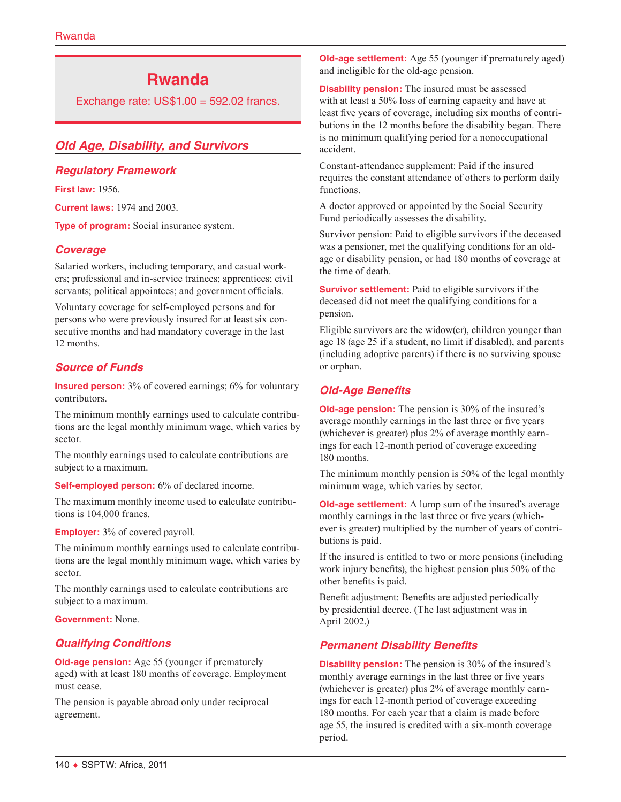# **Rwanda**

Exchange rate: US\$1.00 = 592.02 francs.

# *Old Age, Disability, and Survivors*

### *Regulatory Framework*

**First law:** 1956.

**Current laws:** 1974 and 2003.

**Type of program:** Social insurance system.

# *Coverage*

Salaried workers, including temporary, and casual workers; professional and in-service trainees; apprentices; civil servants; political appointees; and government officials.

Voluntary coverage for self-employed persons and for persons who were previously insured for at least six consecutive months and had mandatory coverage in the last 12 months.

# *Source of Funds*

**Insured person:** 3% of covered earnings; 6% for voluntary contributors.

The minimum monthly earnings used to calculate contributions are the legal monthly minimum wage, which varies by sector.

The monthly earnings used to calculate contributions are subject to a maximum.

**Self-employed person:** 6% of declared income.

The maximum monthly income used to calculate contributions is 104,000 francs.

#### **Employer:** 3% of covered payroll.

The minimum monthly earnings used to calculate contributions are the legal monthly minimum wage, which varies by sector.

The monthly earnings used to calculate contributions are subject to a maximum.

**Government:** None.

# *Qualifying Conditions*

**Old-age pension:** Age 55 (younger if prematurely aged) with at least 180 months of coverage. Employment must cease.

The pension is payable abroad only under reciprocal agreement.

**Old-age settlement:** Age 55 (younger if prematurely aged) and ineligible for the old-age pension.

**Disability pension:** The insured must be assessed with at least a 50% loss of earning capacity and have at least five years of coverage, including six months of contributions in the 12 months before the disability began. There is no minimum qualifying period for a nonoccupational accident.

Constant-attendance supplement: Paid if the insured requires the constant attendance of others to perform daily functions.

A doctor approved or appointed by the Social Security Fund periodically assesses the disability.

Survivor pension: Paid to eligible survivors if the deceased was a pensioner, met the qualifying conditions for an oldage or disability pension, or had 180 months of coverage at the time of death.

**Survivor settlement:** Paid to eligible survivors if the deceased did not meet the qualifying conditions for a pension.

Eligible survivors are the widow(er), children younger than age 18 (age 25 if a student, no limit if disabled), and parents (including adoptive parents) if there is no surviving spouse or orphan.

# *Old-Age Benefits*

**Old-age pension:** The pension is 30% of the insured's average monthly earnings in the last three or five years (whichever is greater) plus 2% of average monthly earnings for each 12-month period of coverage exceeding 180 months.

The minimum monthly pension is 50% of the legal monthly minimum wage, which varies by sector.

**Old-age settlement:** A lump sum of the insured's average monthly earnings in the last three or five years (whichever is greater) multiplied by the number of years of contributions is paid.

If the insured is entitled to two or more pensions (including work injury benefits), the highest pension plus 50% of the other benefits is paid.

Benefit adjustment: Benefits are adjusted periodically by presidential decree. (The last adjustment was in April 2002.)

# *Permanent Disability Benefits*

**Disability pension:** The pension is 30% of the insured's monthly average earnings in the last three or five years (whichever is greater) plus 2% of average monthly earnings for each 12-month period of coverage exceeding 180 months. For each year that a claim is made before age 55, the insured is credited with a six-month coverage period.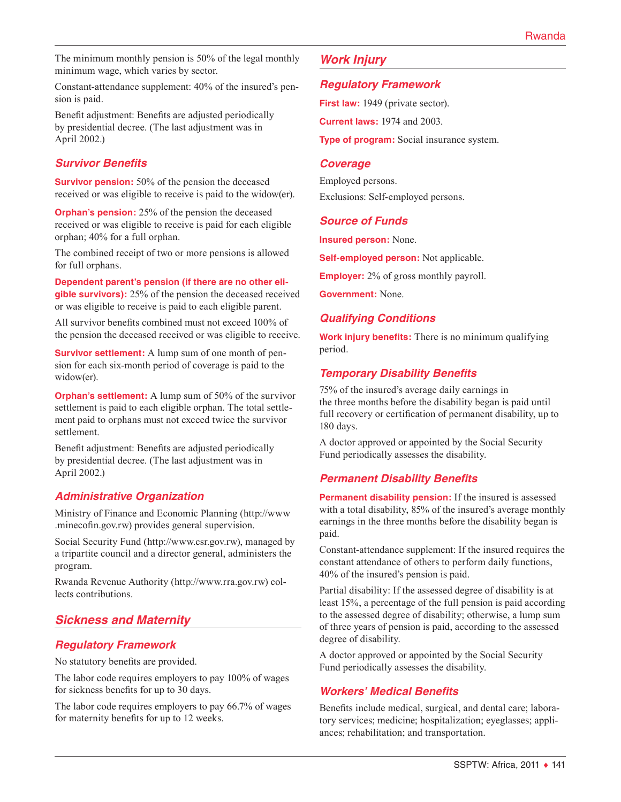The minimum monthly pension is 50% of the legal monthly minimum wage, which varies by sector.

Constant-attendance supplement: 40% of the insured's pension is paid.

Benefit adjustment: Benefits are adjusted periodically by presidential decree. (The last adjustment was in April 2002.)

# *Survivor Benefits*

**Survivor pension:** 50% of the pension the deceased received or was eligible to receive is paid to the widow(er).

**Orphan's pension:** 25% of the pension the deceased received or was eligible to receive is paid for each eligible orphan; 40% for a full orphan.

The combined receipt of two or more pensions is allowed for full orphans.

**Dependent parent's pension (if there are no other eligible survivors):** 25% of the pension the deceased received or was eligible to receive is paid to each eligible parent.

All survivor benefits combined must not exceed 100% of the pension the deceased received or was eligible to receive.

**Survivor settlement:** A lump sum of one month of pension for each six-month period of coverage is paid to the widow(er).

**Orphan's settlement:** A lump sum of 50% of the survivor settlement is paid to each eligible orphan. The total settlement paid to orphans must not exceed twice the survivor settlement.

Benefit adjustment: Benefits are adjusted periodically by presidential decree. (The last adjustment was in April 2002.)

# *Administrative Organization*

Ministry of Finance and Economic Planning [\(http://www](http://www.minecofin.gov.rw) [.minecofin.gov.rw\)](http://www.minecofin.gov.rw) provides general supervision.

Social Security Fund [\(http://www.csr.gov.rw\)](http://www.csr.gov.rw), managed by a tripartite council and a director general, administers the program.

Rwanda Revenue Authority (<http://www.rra.gov.rw>) collects contributions.

# *Sickness and Maternity*

#### *Regulatory Framework*

No statutory benefits are provided.

The labor code requires employers to pay 100% of wages for sickness benefits for up to 30 days.

The labor code requires employers to pay 66.7% of wages for maternity benefits for up to 12 weeks.

# *Work Injury*

#### *Regulatory Framework*

**First law:** 1949 (private sector).

**Current laws:** 1974 and 2003.

**Type of program:** Social insurance system.

#### *Coverage*

Employed persons. Exclusions: Self-employed persons.

#### *Source of Funds*

**Insured person:** None.

**Self-employed person:** Not applicable.

**Employer:** 2% of gross monthly payroll.

**Government:** None.

# *Qualifying Conditions*

**Work injury benefits:** There is no minimum qualifying period.

# *Temporary Disability Benefits*

75% of the insured's average daily earnings in the three months before the disability began is paid until full recovery or certification of permanent disability, up to 180 days.

A doctor approved or appointed by the Social Security Fund periodically assesses the disability.

# *Permanent Disability Benefits*

**Permanent disability pension:** If the insured is assessed with a total disability, 85% of the insured's average monthly earnings in the three months before the disability began is paid.

Constant-attendance supplement: If the insured requires the constant attendance of others to perform daily functions, 40% of the insured's pension is paid.

Partial disability: If the assessed degree of disability is at least 15%, a percentage of the full pension is paid according to the assessed degree of disability; otherwise, a lump sum of three years of pension is paid, according to the assessed degree of disability.

A doctor approved or appointed by the Social Security Fund periodically assesses the disability.

# *Workers' Medical Benefits*

Benefits include medical, surgical, and dental care; laboratory services; medicine; hospitalization; eyeglasses; appliances; rehabilitation; and transportation.